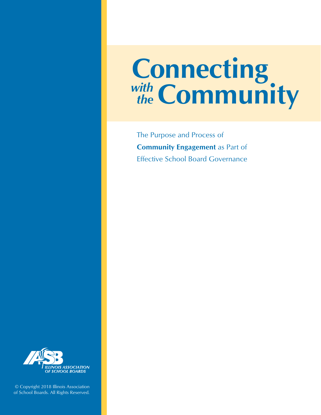# **Connecting** *the* Community

The Purpose and Process of **Community Engagement** as Part of Effective School Board Governance



© Copyright 2018 Illinois Association of School Boards. All Rights Reserved.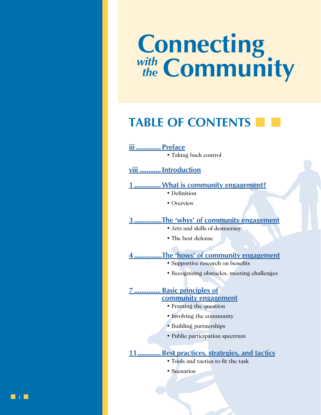# **Connecting** *the* **Community**

# **TABLE OF CONTENTS**

**iii [..............](#page-3-0) Preface**

• Taking back control

**viii [............Introduction](#page-8-0)**

**1 [...............What is community engagement?](#page-9-0)**

- Definition
- Overview

**3 [................The 'whys' of community engagement](#page-11-0)**

- Arts and skills of democracy
- The best defense

**4 [................The 'hows' of community engagement](#page-12-0)**

- Supportive research on benefits
- Recognizing obstacles, meeting challenges

**7 [...............Basic principles of](#page-15-0) [community engagement](#page-15-0)**

- Framing the question
- Involving the community
- Building partnerships
- Public participation spectrum

# **[11.............Best practices, strategies, and tactics](#page-19-0)**

- Tools and tactics to fit the task
- Scenarios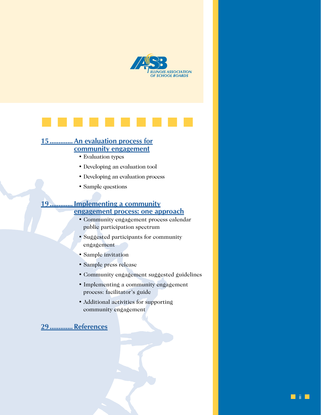



# **[15.............An evaluation process for](#page-23-0) [community engagement](#page-23-0)**

- Evaluation types
- Developing an evaluation tool
- Developing an evaluation process
- Sample questions

# **[19.............Implementing a community](#page-27-0) [engagement process: one approach](#page-27-0)**

- Community engagement process calendar public participation spectrum
- Suggested participants for community engagement
- Sample invitation
- Sample press release
- Community engagement suggested guidelines
- Implementing a community engagement process: facilitator's guide
- Additional activities for supporting community engagement

# **[29.............References](#page-37-0)**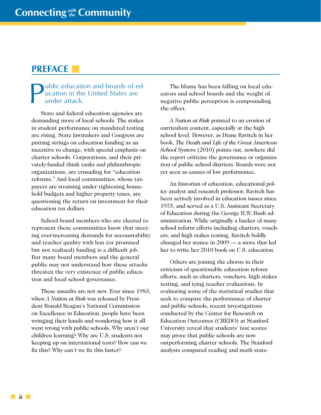# <span id="page-3-0"></span>**PREFACE**

## ublic education and boards of education in the United States are under attack.

State and federal education agencies are demanding more of local schools. The stakes in student performance on mandated testing are rising. State lawmakers and Congress are putting strings on education funding as an incentive to change, with special emphasis on charter schools. Corporations, and their privately-funded think tanks and philanthropic organizations, are crusading for "education reforms." And local communities, whose taxpayers are straining under tightening household budgets and higher property taxes, are questioning the return on investment for their education tax dollars.

School board members who are elected to represent these communities know that meeting ever-increasing demands for accountability and teacher quality with less (or promised but not realized) funding is a difficult job. But many board members and the general public may not understand how these attacks threaten the very existence of public education and local school governance.

These assaults are not new. Ever since 1983, when *A Nation at Risk* was released by President Ronald Reagan's National Commission on Excellence in Education, people have been wringing their hands and wondering how it all went wrong with public schools. Why aren't our children learning? Why are U.S. students not keeping up on international tests? How can we fix this? Why can't we fix this faster?

The blame has been falling on local educators and school boards and the weight of negative public perception is compounding the effect.

*A Nation at Risk* pointed to an erosion of curriculum content, especially at the high school level. However, as Diane Ravitch in her book, *The Death and Life of the Great American School System* (2010) points out, nowhere did the report criticize the governance or organization of public school districts. Boards were not yet seen as causes of low performance.

An historian of education, educational policy analyst and research professor, Ravitch has been actively involved in education issues since 1975, and served as a U.S. Assistant Secretary of Education during the George H.W. Bush administration. While originally a backer of many school reform efforts including charters, vouchers, and high stakes testing, Ravitch boldly changed her stance in 2009 — a move that led her to write her 2010 book on U.S. education.

Others are joining the chorus in their criticism of questionable education reform efforts, such as charters, vouchers, high stakes testing, and tying teacher evaluations. In evaluating some of the statistical studies that seek to compare the performance of charter and public schools, recent investigations conducted by the Center for Research on Education Outcomes (CREDO) at Stanford University reveal that students' test scores may prove that public schools are now outperforming charter schools. The Stanford analysts compared reading and math state-

iii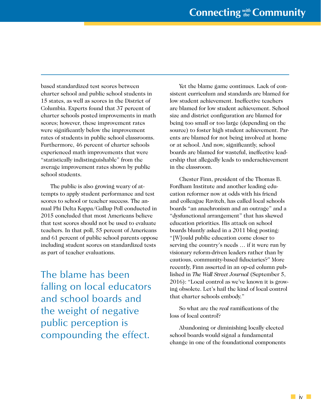based standardized test scores between charter school and public school students in 15 states, as well as scores in the District of Columbia. Experts found that 37 percent of charter schools posted improvements in math scores; however, these improvement rates were significantly below the improvement rates of students in public school classrooms. Furthermore, 46 percent of charter schools experienced math improvements that were "statistically indistinguishable" from the average improvement rates shown by public school students.

The public is also growing weary of attempts to apply student performance and test scores to school or teacher success. The annual Phi Delta Kappa/Gallup Poll conducted in 2015 concluded that most Americans believe that test scores should not be used to evaluate teachers. In that poll, 55 percent of Americans and 61 percent of public school parents oppose including student scores on standardized tests as part of teacher evaluations.

The blame has been falling on local educators and school boards and the weight of negative public perception is compounding the effect.

Yet the blame game continues. Lack of consistent curriculum and standards are blamed for low student achievement. Ineffective teachers are blamed for low student achievement. School size and district configuration are blamed for being too small or too large (depending on the source) to foster high student achievement. Parents are blamed for not being involved at home or at school. And now, significantly, school boards are blamed for wasteful, ineffective leadership that allegedly leads to underachievement in the classroom.

Chester Finn, president of the Thomas B. Fordham Institute and another leading education reformer now at odds with his friend and colleague Ravitch, has called local schools boards "an anachronism and an outrage" and a "dysfunctional arrangement" that has skewed education priorities. His attack on school boards bluntly asked in a 2011 blog posting: "[W]ould public education come closer to serving the country's needs … if it were run by visionary reform-driven leaders rather than by cautious, community-based fiduciaries?" More recently, Finn asserted in an op-ed column published in *The Wall Street Journal* (September 5, 2016): "Local control as we've known it is growing obsolete. Let's hail the kind of local control that charter schools embody."

So what are the *real* ramifications of the loss of local control?

Abandoning or diminishing locally elected school boards would signal a fundamental change in one of the foundational components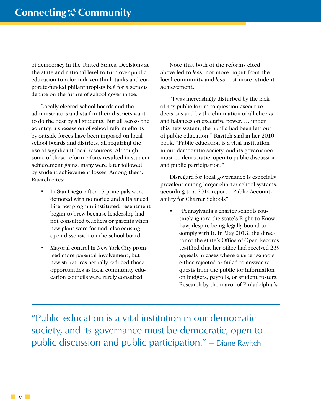of democracy in the United States. Decisions at the state and national level to turn over public education to reform-driven think tanks and corporate-funded philanthropists beg for a serious debate on the future of school governance.

Locally elected school boards and the administrators and staff in their districts want to do the best by all students. But all across the country, a succession of school reform efforts by outside forces have been imposed on local school boards and districts, all requiring the use of significant local resources. Although some of these reform efforts resulted in student achievement gains, many were later followed by student achievement losses. Among them, Ravitch cites:

- In San Diego, after 15 principals were demoted with no notice and a Balanced Literacy program instituted, resentment began to brew because leadership had not consulted teachers or parents when new plans were formed, also causing open dissension on the school board.
- Mayoral control in New York City promised more parental involvement, but new structures actually reduced those opportunities as local community education councils were rarely consulted.

Note that both of the reforms cited above led to *less*, not more, input from the local community and *less*, not more, student achievement.

"I was increasingly disturbed by the lack of any public forum to question executive decisions and by the elimination of all checks and balances on executive power. … under this new system, the public had been left out of public education," Ravitch said in her 2010 book. "Public education is a vital institution in our democratic society, and its governance must be democratic, open to public discussion, and public participation."

Disregard for local governance is especially prevalent among larger charter school systems, according to a 2014 report, "Public Accountability for Charter Schools":

 "Pennsylvania's charter schools routinely ignore the state's Right to Know Law, despite being legally bound to comply with it. In May 2013, the director of the state's Office of Open Records testified that her office had received 239 appeals in cases where charter schools either rejected or failed to answer requests from the public for information on budgets, payrolls, or student rosters. Research by the mayor of Philadelphia's

"Public education is a vital institution in our democratic society, and its governance must be democratic, open to public discussion and public participation." — Diane Ravitch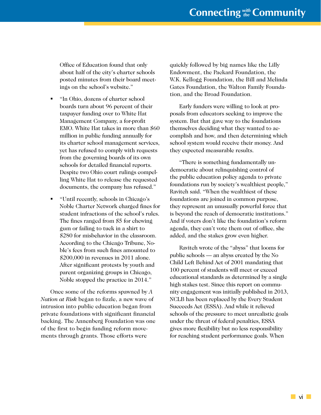Office of Education found that only about half of the city's charter schools posted minutes from their board meetings on the school's website."

- "In Ohio, dozens of charter school boards turn about 96 percent of their taxpayer funding over to White Hat Management Company, a for-profit EMO. White Hat takes in more than \$60 million in public funding annually for its charter school management services, yet has refused to comply with requests from the governing boards of its own schools for detailed financial reports. Despite two Ohio court rulings compelling White Hat to release the requested documents, the company has refused."
- "Until recently, schools in Chicago's Noble Charter Network charged fines for student infractions of the school's rules. The fines ranged from \$5 for chewing gum or failing to tuck in a shirt to \$280 for misbehavior in the classroom. According to the Chicago Tribune, Noble's fees from such fines amounted to \$200,000 in revenues in 2011 alone. After significant protests by youth and parent organizing groups in Chicago, Noble stopped the practice in 2014."

Once some of the reforms spawned by *A Nation at Risk* began to fizzle, a new wave of intrusion into public education began from private foundations with significant financial backing. The Annenberg Foundation was one of the first to begin funding reform movements through grants. Those efforts were

quickly followed by big names like the Lilly Endowment, the Packard Foundation, the W.K. Kellogg Foundation, the Bill and Melinda Gates Foundation, the Walton Family Foundation, and the Broad Foundation.

Early funders were willing to look at proposals from educators seeking to improve the system. But that gave way to the foundations themselves deciding what they wanted to accomplish and how, and then determining which school system would receive their money. And they expected measurable results.

"There is something fundamentally undemocratic about relinquishing control of the public education policy agenda to private foundations run by society's wealthiest people," Ravitch said. "When the wealthiest of these foundations are joined in common purpose, they represent an unusually powerful force that is beyond the reach of democratic institutions." And if voters don't like the foundation's reform agenda, they can't vote them out of office, she added, and the stakes grow even higher.

Ravitch wrote of the "abyss" that looms for public schools — an abyss created by the No Child Left Behind Act of 2001 mandating that 100 percent of students will meet or exceed educational standards as determined by a single high stakes test. Since this report on community engagement was initially published in 2013, NCLB has been replaced by the Every Student Succeeds Act (ESSA). And while it relieved schools of the pressure to meet unrealistic goals under the threat of federal penalties, ESSA gives more flexibility but no less responsibility for reaching student performance goals. When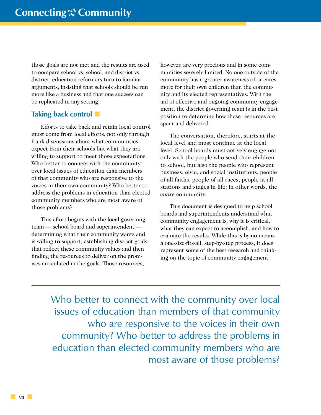those goals are not met and the results are used to compare school vs. school, and district vs. district, education reformers turn to familiar arguments, insisting that schools should be run more like a business and that one success can be replicated in any setting.

# **Taking back control**

Efforts to take back and retain local control must come from local efforts, not only through frank discussions about what communities expect from their schools but what they are willing to support to meet those expectations. Who better to connect with the community over local issues of education than members of that community who are responsive to the voices in their own community? Who better to address the problems in education than elected community members who are most aware of those problems?

This effort begins with the local governing team — school board and superintendent determining what their community wants and is willing to support, establishing district goals that reflect these community values and then finding the resources to deliver on the promises articulated in the goals. Those resources,

however, are very precious and in some communities severely limited. No one outside of the community has a greater awareness of or cares more for their own children than the community and its elected representatives. With the aid of effective and ongoing community engagement, the district governing team is in the best position to determine how these resources are spent and delivered.

The conversation, therefore, starts at the local level and must continue at the local level. School boards must actively engage not only with the people who send their children to school, but also the people who represent business, civic, and social institutions, people of all faiths, people of all races, people at all stations and stages in life: in other words, the *entire* community.

This document is designed to help school boards and superintendents understand what community engagement is, why it is critical, what they can expect to accomplish, and how to evaluate the results. While this is by no means a one-size-fits-all, step-by-step process, it does represent some of the best research and thinking on the topic of community engagement.

Who better to connect with the community over local issues of education than members of that community who are responsive to the voices in their own community? Who better to address the problems in education than elected community members who are most aware of those problems?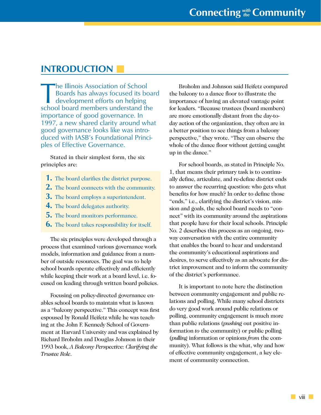# <span id="page-8-0"></span>**INTRODUCTION**

The Illinois Association of School<br>Boards has always focused its be<br>development efforts on helping<br>school board mombers understand the Boards has always focused its board development efforts on helping school board members understand the importance of good governance. In 1997, a new shared clarity around what good governance looks like was introduced with IASB's Foundational Principles of Effective Governance.

Stated in their simplest form, the six principles are:

- **1.** The board clarifies the district purpose.
- **2.** The board connects with the community.
- **3.** The board employs a superintendent.
- **4.** The board delegates authority.
- **5.** The board monitors performance.
- **6.** The board takes responsibility for itself.

The six principles were developed through a process that examined various governance work models, information and guidance from a number of outside resources. The goal was to help school boards operate effectively and efficiently while keeping their work at a board level, i.e. focused on leading through written board policies.

Focusing on policy-directed governance enables school boards to maintain what is known as a "balcony perspective." This concept was first espoused by Ronald Heifetz while he was teaching at the John F. Kennedy School of Government at Harvard University and was explained by Richard Broholm and Douglas Johnson in their 1993 book, *A Balcony Perspective: Clarifying the Trustee Role*.

Broholm and Johnson said Heifetz compared the balcony to a dance floor to illustrate the importance of having an elevated vantage point for leaders. "Because trustees (board members) are more emotionally distant from the day-today action of the organization, they often are in a better position to see things from a balcony perspective," they wrote. "They can observe the whole of the dance floor without getting caught up in the dance."

For school boards, as stated in Principle No. 1, that means their primary task is to continually define, articulate, and re-define district ends to answer the recurring question: who gets what benefits for how much? In order to define those "ends," i.e., clarifying the district's vision, mission and goals, the school board needs to "connect" with its community around the aspirations that people have for their local schools. Principle No. 2 describes this process as an ongoing, twoway conversation with the entire community that enables the board to hear and understand the community's educational aspirations and desires, to serve effectively as an advocate for district improvement and to inform the community of the district's performance.

It is important to note here the distinction between community engagement and public relations and polling. While many school districts do very good work around public relations or polling, community engagement is much more than public relations (*pushing* out positive information *to* the community) or public polling (*pulling* information or opinions *from* the community). What follows is the what, why and how of effective community engagement, a key element of community connection.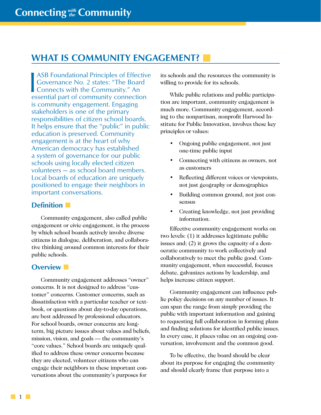# <span id="page-9-0"></span>**WHAT IS COMMUNITY ENGAGEMENT?**

ASB Foundational Principles of Effect<br>
Governance No. 2 states: "The Board<br>
Connects with the Community." An<br>
assortial part of community connection **ASB Foundational Principles of Effective** Governance No. 2 states: "The Board essential part of community connection is community engagement. Engaging stakeholders is one of the primary responsibilities of citizen school boards. It helps ensure that the "public" in public education is preserved. Community engagement is at the heart of why American democracy has established a system of governance for our public schools using locally elected citizen volunteers — as school board members. Local boards of education are uniquely positioned to engage their neighbors in important conversations.

## **Definition**

Community engagement, also called public engagement or civic engagement, is the process by which school boards actively involve diverse citizens in dialogue, deliberation, and collaborative thinking around common interests for their public schools.

## **Overview**

Community engagement addresses "owner" concerns. It is not designed to address "customer" concerns. Customer concerns, such as dissatisfaction with a particular teacher or textbook, or questions about day-to-day operations, are best addressed by professional educators. For school boards, owner concerns are longterm, big picture issues about values and beliefs, mission, vision, and goals — the community's "core values." School boards are uniquely qualified to address these owner concerns because they are elected, volunteer citizens who can engage their neighbors in these important conversations about the community's purposes for

its schools and the resources the community is willing to provide for its schools.

While public relations and public participation are important, community engagement is much more. Community engagement, according to the nonpartisan, nonprofit Harwood Institute for Public Innovation, involves these key principles or values:

- Ongoing public engagement, not just one-time public input
- Connecting with citizens as owners, not as customers
- Reflecting different voices or viewpoints, not just geography or demographics
- Building common ground, not just consensus
- Creating knowledge, not just providing information.

Effective community engagement works on two levels: (1) it addresses legitimate public issues and; (2) it grows the capacity of a democratic community to work collectively and collaboratively to meet the public good. Community engagement, when successful, focuses debate, galvanizes actions by leadership, and helps increase citizen support.

Community engagement can influence public policy decisions on any number of issues. It can span the range from simply providing the public with important information and gaining to requesting full collaboration in forming plans and finding solutions for identified public issues. In every case, it places value on an ongoing conversation, involvement and the common good.

To be effective, the board should be clear about its purpose for engaging the community and should clearly frame that purpose into a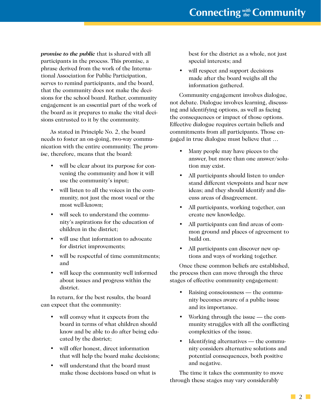*promise to the public* that is shared with all participants in the process. This promise, a phrase derived from the work of the International Association for Public Participation, serves to remind participants, and the board, that the community does not make the decisions for the school board. Rather, community engagement is an essential part of the work of the board as it prepares to make the vital decisions entrusted to it by the community.

As stated in Principle No. 2, the board needs to foster an on-going, two-way communication with the entire community. The *promise*, therefore, means that the board:

- will be clear about its purpose for convening the community and how it will use the community's input;
- will listen to all the voices in the community, not just the most vocal or the most well-known;
- will seek to understand the community's aspirations for the education of children in the district;
- will use that information to advocate for district improvements;
- will be respectful of time commitments; and
- will keep the community well informed about issues and progress within the district.

In return, for the best results, the board can expect that the community:

- will convey what it expects from the board in terms of what children should know and be able to do after being educated by the district;
- will offer honest, direct information that will help the board make decisions;
- will understand that the board must make those decisions based on what is

best for the district as a whole, not just special interests; and

• will respect and support decisions made after the board weighs all the information gathered.

Community engagement involves dialogue, not debate. Dialogue involves learning, discussing and identifying options, as well as facing the consequences or impact of those options. Effective dialogue requires certain beliefs and commitments from all participants. Those engaged in true dialogue must believe that …

- Many people may have pieces to the answer, but more than one answer/solution may exist.
- All participants should listen to understand different viewpoints and hear new ideas; and they should identify and discuss areas of disagreement.
- All participants, working together, can create new knowledge.
- All participants can find areas of common ground and places of agreement to build on.
- All participants can discover new options and ways of working together.

Once these common beliefs are established, the process then can move through the three stages of effective community engagement:

- Raising consciousness the community becomes aware of a public issue and its importance.
- Working through the issue the community struggles with all the conflicting complexities of the issue.
- Identifying alternatives the community considers alternative solutions and potential consequences, both positive and negative.

The time it takes the community to move through these stages may vary considerably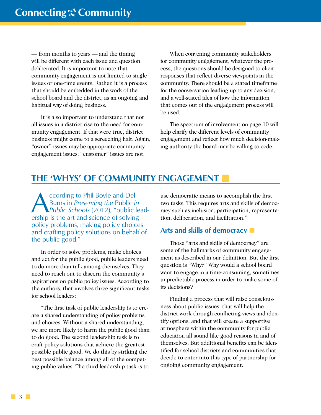<span id="page-11-0"></span>— from months to years — and the timing will be different with each issue and question deliberated. It is important to note that community engagement is not limited to single issues or one-time events. Rather, it is a process that should be embedded in the work of the school board and the district, as an ongoing and habitual way of doing business.

It is also important to understand that not all issues in a district rise to the need for community engagement. If that were true, district business might come to a screeching halt. Again, "owner" issues may be appropriate community engagement issues; "customer" issues are not.

When convening community stakeholders for community engagement, whatever the process, the questions should be designed to elicit responses that reflect diverse viewpoints in the community. There should be a stated timeframe for the conversation leading up to any decision, and a well-stated idea of how the information that comes out of the engagement process will be used.

The spectrum of involvement on page 10 will help clarify the different levels of community engagement and reflect how much decision-making authority the board may be willing to cede.

# **THE 'WHYS' OF COMMUNITY ENGAGEMENT**

**According to Phil Boyle and Del<br>** *Public Schools* **(2012), "public lead-<br>
orship is the art and science of solving** Burns in *Preserving the* Public *in*  ership is the art and science of solving policy problems, making policy choices and crafting policy solutions on behalf of the public good."

In order to solve problems, make choices and act for the public good, public leaders need to do more than talk among themselves. They need to reach out to discern the community's aspirations on public policy issues. According to the authors, that involves three significant tasks for school leaders:

"The first task of public leadership is to create a shared understanding of policy problems and choices. Without a shared understanding, we are more likely to harm the public good than to do good. The second leadership task is to craft policy solutions that achieve the greatest possible public good. We do this by striking the best possible balance among all of the competing public values. The third leadership task is to

use democratic means to accomplish the first two tasks. This requires arts and skills of democracy such as inclusion, participation, representation, deliberation, and facilitation."

## **Arts and skills of democracy**

Those "arts and skills of democracy" are some of the hallmarks of community engagement as described in our definition. But the first question is "Why?" Why would a school board want to engage in a time-consuming, sometimes unpredictable process in order to make some of its decisions?

Finding a process that will raise consciousness about public issues, that will help the district work through conflicting views and identify options, and that will create a supportive atmosphere within the community for public education all sound like good reasons in and of themselves. But additional benefits can be identified for school districts and communities that decide to enter into this type of partnership for ongoing community engagement.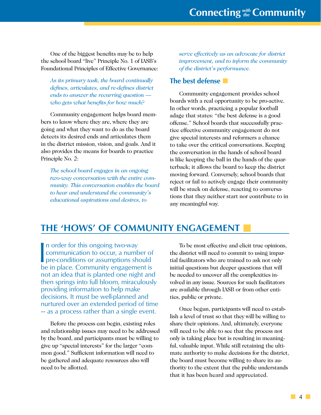<span id="page-12-0"></span>One of the biggest benefits may be to help the school board "live" Principle No. 1 of IASB's Foundational Principles of Effective Governance:

*As its primary task, the board continually defines, articulates, and re-defines district ends to answer the recurring question who gets what benefits for how much?*

Community engagement helps board members to know where they are, where they are going and what they want to do as the board detects its desired ends and articulates them in the district mission, vision, and goals. And it also provides the means for boards to practice Principle No. 2:

*The school board engages in an ongoing two-way conversation with the entire community. This conversation enables the board to hear and understand the community's educational aspirations and desires, to* 

*serve effectively as an advocate for district improvement, and to inform the community of the district's performance.*

## **The best defense**

Community engagement provides school boards with a real opportunity to be pro-active. In other words, practicing a popular football adage that states: "the best defense is a good offense." School boards that successfully practice effective community engagement do not give special interests and reformers a chance to take over the critical conversations. Keeping the conversation in the hands of school board is like keeping the ball in the hands of the quarterback; it allows the board to keep the district moving forward. Conversely, school boards that reject or fail to actively engage their community will be stuck on defense, reacting to conversations that they neither start nor contribute to in any meaningful way.

# **THE 'HOWS' OF COMMUNITY ENGAGEMENT**

In order for this ongoing two-way<br>
communication to occur, a number of<br>
pre-conditions or assumptions should<br>
be in place. Community ongagement is In order for this ongoing two-way communication to occur, a number of be in place. Community engagement is not an idea that is planted one night and then springs into full bloom, miraculously providing information to help make decisions. It must be well-planned and nurtured over an extended period of time — as a process rather than a single event.

Before the process can begin, existing roles and relationship issues may need to be addressed by the board, and participants must be willing to give up "special interests" for the larger "common good." Sufficient information will need to be gathered and adequate resources also will need to be allotted.

To be most effective and elicit true opinions, the district will need to commit to using impartial facilitators who are trained to ask not only initial questions but deeper questions that will be needed to uncover all the complexities involved in any issue. Sources for such facilitators are available through IASB or from other entities, public or private.

Once begun, participants will need to establish a level of trust so that they will be willing to share their opinions. And, ultimately, everyone will need to be able to see that the process not only is taking place but is resulting in meaningful, valuable input. While still retaining the ultimate authority to make decisions for the district, the board must become willing to share its authority to the extent that the public understands that it has been heard and appreciated.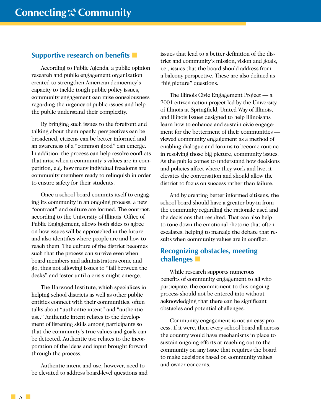# **Supportive research on benefits**

According to Public Agenda, a public opinion research and public engagement organization created to strengthen American democracy's capacity to tackle tough public policy issues, community engagement can raise consciousness regarding the urgency of public issues and help the public understand their complexity.

By bringing such issues to the forefront and talking about them openly, perspectives can be broadened, citizens can be better informed and an awareness of a "common good" can emerge. In addition, the process can help resolve conflicts that arise when a community's values are in competition, e.g. how many individual freedoms are community members ready to relinquish in order to ensure safety for their students.

Once a school board commits itself to engaging its community in an ongoing process, a new "contract" and culture are formed. The contract, according to the University of Illinois' Office of Public Engagement, allows both sides to agree on how issues will be approached in the future and also identifies where people are and how to reach them. The culture of the district becomes such that the process can survive even when board members and administrators come and go, thus not allowing issues to "fall between the desks" and fester until a crisis might emerge.

The Harwood Institute, which specializes in helping school districts as well as other public entities connect with their communities, often talks about "authentic intent" and "authentic use." Authentic intent relates to the development of listening skills among participants so that the community's true values and goals can be detected. Authentic use relates to the incorporation of the ideas and input brought forward through the process.

Authentic intent and use, however, need to be elevated to address board-level questions and issues that lead to a better definition of the district and community's mission, vision and goals, i.e., issues that the board should address from a balcony perspective. These are also defined as "big picture" questions.

The Illinois Civic Engagement Project — a 2001 citizen action project led by the University of Illinois at Springfield, United Way of Illinois, and Illinois Issues designed to help Illinoisans learn how to enhance and sustain civic engagement for the betterment of their communities viewed community engagement as a method of enabling dialogue and forums to become routine in resolving those big picture, community issues. As the public comes to understand how decisions and policies affect where they work and live, it elevates the conversation and should allow the district to focus on success rather than failure.

And by creating better informed citizens, the school board should have a greater buy-in from the community regarding the rationale used and the decisions that resulted. That can also help to tone down the emotional rhetoric that often escalates, helping to manage the debate that results when community values are in conflict.

# **Recognizing obstacles, meeting challenges**

While research supports numerous benefits of community engagement to all who participate, the commitment to this ongoing process should not be entered into without acknowledging that there can be significant obstacles and potential challenges.

Community engagement is not an easy process. If it were, then every school board all across the country would have mechanisms in place to sustain ongoing efforts at reaching out to the community on any issue that requires the board to make decisions based on community values and owner concerns.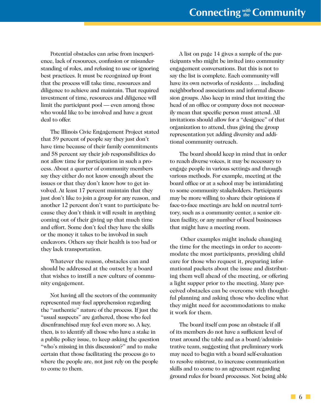Potential obstacles can arise from inexperience, lack of resources, confusion or misunderstanding of roles, and refusing to use or ignoring best practices. It must be recognized up front that the process will take time, resources and diligence to achieve and maintain. That required investment of time, resources and diligence will limit the participant pool — even among those who would like to be involved and have a great deal to offer.

The Illinois Civic Engagement Project stated that 59 percent of people say they just don't have time because of their family commitments and 58 percent say their job responsibilities do not allow time for participation in such a process. About a quarter of community members say they either do not know enough about the issues or that they don't know how to get involved. At least 17 percent maintain that they just don't like to join a group for any reason, and another 12 percent don't want to participate because they don't think it will result in anything coming out of their giving up that much time and effort. Some don't feel they have the skills or the money it takes to be involved in such endeavors. Others say their health is too bad or they lack transportation.

Whatever the reason, obstacles can and should be addressed at the outset by a board that wishes to instill a new culture of community engagement.

Not having all the sectors of the community represented may fuel apprehension regarding the "authentic" nature of the process. If just the "usual suspects" are gathered, those who feel disenfranchised may feel even more so. A key, then, is to identify all those who have a stake in a public policy issue, to keep asking the question "who's missing in this discussion?" and to make certain that those facilitating the process go to where the people are, not just rely on the people to come to them.

A list on page 14 gives a sample of the participants who might be invited into community engagement conversations. But this is not to say the list is complete. Each community will have its own networks of residents … including neighborhood associations and informal discussion groups. Also keep in mind that inviting the head of an office or company does not necessarily mean that specific person must attend. All invitations should allow for a "designee" of that organization to attend, thus giving the group representation yet adding diversity and additional community outreach.

The board should keep in mind that in order to reach diverse voices, it may be necessary to engage people in various settings and through various methods. For example, meeting at the board office or at a school may be intimidating to some community stakeholders. Participants may be more willing to share their opinions if face-to-face meetings are held on neutral territory, such as a community center, a senior citizen facility, or any number of local businesses that might have a meeting room.

 Other examples might include changing the time for the meetings in order to accommodate the most participants, providing child care for those who request it, preparing informational packets about the issue and distributing them well ahead of the meeting, or offering a light supper prior to the meeting. Many perceived obstacles can be overcome with thoughtful planning and asking those who decline what they might need for accommodations to make it work for them.

The board itself can pose an obstacle if all of its members do not have a sufficient level of trust around the table and as a board/administrative team, suggesting that preliminary work may need to begin with a board self-evaluation to resolve mistrust, to increase communication skills and to come to an agreement regarding ground rules for board processes. Not being able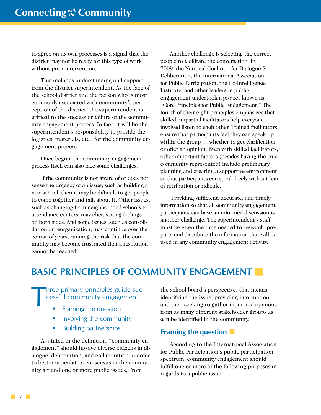<span id="page-15-0"></span>to agree on its own processes is a signal that the district may not be ready for this type of work without prior intervention.

This includes understanding and support from the district superintendent. As the face of the school district and the person who is most commonly associated with community's perception of the district, the superintendent is critical to the success or failure of the community engagement process. In fact, it will be the superintendent's responsibility to provide the logistics, materials, etc., for the community engagement process.

Once begun, the community engagement process itself can also face some challenges.

If the community is not aware of or does not sense the urgency of an issue, such as building a new school, then it may be difficult to get people to come together and talk about it. Other issues, such as changing from neighborhood schools to attendance centers, may elicit strong feelings on both sides. And some issues, such as consolidation or reorganization, may continue over the course of years, running the risk that the community may become frustrated that a resolution cannot be reached.

Another challenge is selecting the correct people to facilitate the conversation. In 2009, the National Coalition for Dialogue & Deliberation, the International Association for Public Participation, the Co-Intelligence Institute, and other leaders in public engagement undertook a project known as "Core Principles for Public Engagement." The fourth of their eight principles emphasizes that skilled, impartial facilitators help everyone involved listen to each other. Trained facilitators ensure that participants feel they can speak up within the group … whether to get clarification or offer an opinion. Even with skilled facilitators, other important factors (besides having the true community represented) include preliminary planning and creating a supportive environment so that participants can speak freely without fear of retribution or ridicule.

 Providing sufficient, accurate, and timely information so that all community engagement participants can have an informed discussion is another challenge. The superintendent's staff must be given the time needed to research, prepare, and distribute the information that will be used in any community engagement activity.

# **BASIC PRINCIPLES OF COMMUNITY ENGAGEMENT**

Three primary principles guide successful community engagement:<br>
Framing the question cessful community engagement:

- Framing the question
- **Involving the community**
- **Building partnerships**

As stated in the definition, "community engagement" should involve diverse citizens in dialogue, deliberation, and collaboration in order to better articulate a consensus in the community around one or more public issues. From

the school board's perspective, that means identifying the issue, providing information, and then seeking to gather input and opinions from as many different stakeholder groups as can be identified in the community.

## **Framing the question**

According to the International Association for Public Participation's public participation spectrum, community engagement should fulfill one or more of the following purposes in regards to a public issue:

**7**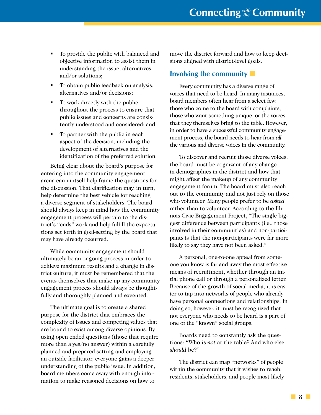- To provide the public with balanced and objective information to assist them in understanding the issue, alternatives and/or solutions;
- To obtain public feedback on analysis, alternatives and/or decisions;
- To work directly with the public throughout the process to ensure that public issues and concerns are consistently understood and considered; and
- To partner with the public in each aspect of the decision, including the development of alternatives and the identification of the preferred solution.

Being clear about the board's purpose for entering into the community engagement arena can in itself help frame the questions for the discussion. That clarification may, in turn, help determine the best vehicle for reaching a diverse segment of stakeholders. The board should always keep in mind how the community engagement process will pertain to the district's "ends" work and help fulfill the expectations set forth in goal-setting by the board that may have already occurred.

While community engagement should ultimately be an ongoing process in order to achieve maximum results and a change in district culture, it must be remembered that the events themselves that make up any community engagement process should always be thoughtfully and thoroughly planned and executed.

The ultimate goal is to create a shared purpose for the district that embraces the complexity of issues and competing values that are bound to exist among diverse opinions. By using open ended questions (those that require more than a yes/no answer) within a carefully planned and prepared setting and employing an outside facilitator, everyone gains a deeper understanding of the public issue. In addition, board members come away with enough information to make reasoned decisions on how to

move the district forward and how to keep decisions aligned with district-level goals.

## **Involving the community**

Every community has a diverse range of voices that need to be heard. In many instances, board members often hear from a select few: those who come to the board with complaints, those who want something unique, or the voices that they themselves bring to the table. However, in order to have a successful community engagement process, the board needs to hear from *all* the various and diverse voices in the community.

To discover and recruit those diverse voices, the board must be cognizant of any change in demographics in the district and how that might affect the makeup of any community engagement forum. The board must also reach out to the community and not just rely on those who volunteer. Many people prefer to be *asked* rather than to volunteer. According to the Illinois Civic Engagement Project, "The single biggest difference between participants (i.e., those involved in their communities) and non-participants is that the non-participants were far more likely to say they have not been asked."

A personal, one-to-one appeal from someone you know is far and away the most effective means of recruitment, whether through an initial phone call or through a personalized letter. Because of the growth of social media, it is easier to tap into networks of people who already have personal connections and relationships. In doing so, however, it must be recognized that not everyone who needs to be heard is a part of one of the "known" social groups.

Boards need to constantly ask the questions: "Who is *not* at the table? And who else *should* be?"

The district can map "networks" of people within the community that it wishes to reach: residents, stakeholders, and people most likely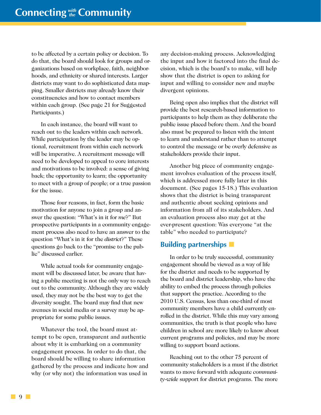to be affected by a certain policy or decision. To do that, the board should look for groups and organizations based on workplace, faith, neighborhoods, and ethnicity or shared interests. Larger districts may want to do sophisticated data mapping. Smaller districts may already know their constituencies and how to contact members within each group. (See page 21 for Suggested Participants.)

In each instance, the board will want to reach out to the leaders within each network. While participation by the leader may be optional, recruitment from within each network will be imperative. A recruitment message will need to be developed to appeal to core interests and motivations to be involved: a sense of giving back; the opportunity to learn; the opportunity to meet with a group of people; or a true passion for the issue.

Those four reasons, in fact, form the basic motivation for anyone to join a group and answer the question: "What's in it for *me*?" But prospective participants in a community engagement process also need to have an answer to the question "What's in it for the *district*?" These questions go back to the "promise to the public" discussed earlier.

While actual tools for community engagement will be discussed later, be aware that having a public meeting is not the only way to reach out to the community. Although they are widely used, they may not be the best way to get the diversity sought. The board may find that new avenues in social media or a survey may be appropriate for some public issues.

Whatever the tool, the board must attempt to be open, transparent and authentic about why it is embarking on a community engagement process. In order to do that, the board should be willing to share information gathered by the process and indicate how and why (or why not) the information was used in

any decision-making process. Acknowledging the input and how it factored into the final decision, which is the board's to make, will help show that the district is open to asking for input and willing to consider new and maybe divergent opinions.

Being open also implies that the district will provide the best research-based information to participants to help them as they deliberate the public issue placed before them. And the board also must be prepared to listen with the intent to learn and understand rather than to attempt to control the message or be overly defensive as stakeholders provide their input.

Another big piece of community engagement involves evaluation of the process itself, which is addressed more fully later in this document. (See pages 15-18.) This evaluation shows that the district is being transparent and authentic about seeking opinions and information from all of its stakeholders. And an evaluation process also may get at the ever-present question: Was everyone "at the table" who needed to participate?

#### **Building partnerships**

In order to be truly successful, community engagement should be viewed as a way of life for the district and needs to be supported by the board and district leadership, who have the ability to embed the process through policies that support the practice. According to the 2010 U.S. Census, less than one-third of most community members have a child currently enrolled in the district. While this may vary among communities, the truth is that people who have children in school are more likely to know about current programs and policies, and may be more willing to support board actions.

Reaching out to the other 75 percent of community stakeholders is a must if the district wants to move forward with adequate *community-wide* support for district programs. The more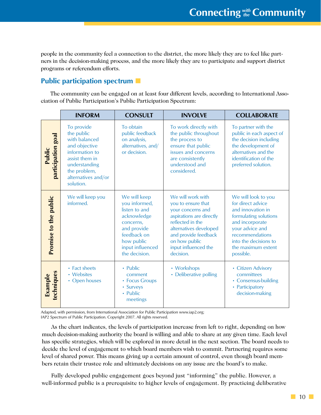people in the community feel a connection to the district, the more likely they are to feel like partners in the decision-making process, and the more likely they are to participate and support district programs or referendum efforts.

# **Public participation spectrum**

The community can be engaged on at least four different levels, according to International Association of Public Participation's Public Participation Spectrum:

|                              | <b>INFORM</b>                                                                                                                                                       | <b>CONSULT</b>                                                                                                                                              | <b>INVOLVE</b>                                                                                                                                                                                                       | <b>COLLABORATE</b>                                                                                                                                                                                          |
|------------------------------|---------------------------------------------------------------------------------------------------------------------------------------------------------------------|-------------------------------------------------------------------------------------------------------------------------------------------------------------|----------------------------------------------------------------------------------------------------------------------------------------------------------------------------------------------------------------------|-------------------------------------------------------------------------------------------------------------------------------------------------------------------------------------------------------------|
| participation goal<br>Public | To provide<br>the public<br>with balanced<br>and objective<br>information to<br>assist them in<br>understanding<br>the problem,<br>alternatives and/or<br>solution. | To obtain<br>public feedback<br>on analysis,<br>alternatives, and/<br>or decision.                                                                          | To work directly with<br>the public throughout<br>the process to<br>ensure that public<br>issues and concerns<br>are consistently<br>understood and<br>considered.                                                   | To partner with the<br>public in each aspect of<br>the decision including<br>the development of<br>alternatives and the<br>identification of the<br>preferred solution.                                     |
| Promise to the public        | We will keep you<br>informed.                                                                                                                                       | We will keep<br>you informed,<br>listen to and<br>acknowledge<br>concerns,<br>and provide<br>feedback on<br>how public<br>input influenced<br>the decision. | We will work with<br>you to ensure that<br>your concerns and<br>aspirations are directly<br>reflected in the<br>alternatives developed<br>and provide feedback<br>on how public<br>input influenced the<br>decision. | We will look to you<br>for direct advice<br>and innovation in<br>formulating solutions<br>and incorporate<br>your advice and<br>recommendations<br>into the decisions to<br>the maximum extent<br>possible. |
| techniques<br>Example        | • Fact sheets<br>• Websites<br>• Open houses                                                                                                                        | $\cdot$ Public<br>comment<br>• Focus Groups<br>• Surveys<br>• Public<br>meetings                                                                            | • Workshops<br>• Deliberative polling                                                                                                                                                                                | • Citizen Advisory<br>committees<br>• Consensus-building<br>• Participatory<br>decision-making                                                                                                              |

Adapted, with permission, from International Association for Public Participation www.iap2.org; IAP2 Spectrum of Public Participation. Copyright 2007. All rights reserved.

As the chart indicates, the levels of participation increase from left to right, depending on how much decision-making authority the board is willing and able to share at any given time. Each level has specific strategies, which will be explored in more detail in the next section. The board needs to decide the level of engagement to which board members wish to commit. Partnering requires some level of shared power. This means giving up a certain amount of control, even though board members retain their trustee role and ultimately decisions on any issue are the board's to make.

Fully developed public engagement goes beyond just "informing" the public. However, a well-informed public is a prerequisite to higher levels of engagement. By practicing deliberative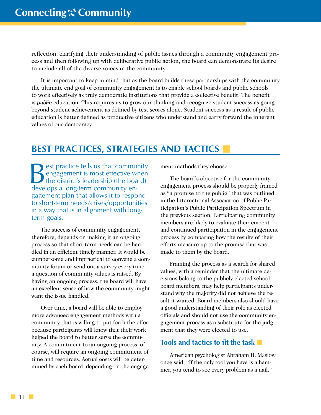<span id="page-19-0"></span>reflection, clarifying their understanding of public issues through a community engagement process and then following up with deliberative public action, the board can demonstrate its desire to include all of the diverse voices in the community.

It is important to keep in mind that as the board builds these partnerships with the community the ultimate end goal of community engagement is to enable school boards and public schools to work effectively as truly democratic institutions that provide a collective benefit. The benefit is *public* education. This requires us to grow our thinking and recognize student success as going beyond student achievement as defined by test scores alone. Student success as a result of public education is better defined as productive citizens who understand and carry forward the inherent values of our democracy.

# **BEST PRACTICES, STRATEGIES AND TACTICS**

est practice tells us that community engagement is most effective when the district's leadership (the board) develops a long-term community engagement plan that allows it to respond to short-term needs/crises/opportunities in a way that is in alignment with longterm goals.

The success of community engagement, therefore, depends on making it an ongoing process so that short-term needs can be handled in an efficient timely manner. It would be cumbersome and impractical to convene a community forum or send out a survey every time a question of community values is raised. By having an ongoing process, the board will have an excellent sense of how the community might want the issue handled.

Over time, a board will be able to employ more advanced engagement methods with a community that is willing to put forth the effort because participants will know that their work helped the board to better serve the community. A commitment to an ongoing process, of course, will require an ongoing commitment of time and resources. Actual costs will be determined by each board, depending on the engagement methods they choose.

The board's objective for the community engagement process should be properly framed as "a promise to the public" that was outlined in the International Association of Public Participation's Public Participation Spectrum in the previous section. Participating community members are likely to evaluate their current and continued participation in the engagement process by comparing how the results of their efforts measure up to the promise that was made to them by the board.

Framing the process as a search for shared values, with a reminder that the ultimate decisions belong to the publicly elected school board members, may help participants understand why the majority did not achieve the result it wanted. Board members also should have a good understanding of their role as elected officials and should not use the community engagement process as a substitute for the judgment that they were elected to use.

# **Tools and tactics to fit the task**

American psychologist Abraham H. Maslow once said, "If the only tool you have is a hammer, you tend to see every problem as a nail."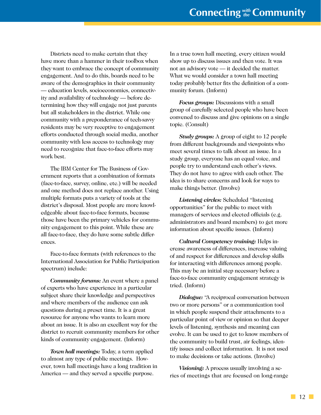Districts need to make certain that they have more than a hammer in their toolbox when they want to embrace the concept of community engagement. And to do this, boards need to be aware of the demographics in their community — education levels, socioeconomics, connectivity and availability of technology — before determining how they will engage not just parents but all stakeholders in the district. While one community with a preponderance of tech-savvy residents may be very receptive to engagement efforts conducted through social media, another community with less access to technology may need to recognize that face-to-face efforts may work best.

The IBM Center for The Business of Government reports that a combination of formats (face-to-face, survey, online, etc.) will be needed and one method does not replace another. Using multiple formats puts a variety of tools at the district's disposal. Most people are more knowledgeable about face-to-face formats, because those have been the primary vehicles for community engagement to this point. While these are all face-to-face, they do have some subtle differences.

Face-to-face formats (with references to the International Association for Public Participation spectrum) include:

*Community forums:* An event where a panel of experts who have experience in a particular subject share their knowledge and perspectives and where members of the audience can ask questions during a preset time. It is a great resource for anyone who wants to learn more about an issue. It is also an excellent way for the district to recruit community members for other kinds of community engagement. (Inform)

*Town hall meetings:* Today, a term applied to almost any type of public meetings. However, town hall meetings have a long tradition in America — and they served a specific purpose.

In a true town hall meeting, every citizen would show up to discuss issues and then vote. It was not an advisory vote — it decided the matter. What we would consider a town hall meeting today probably better fits the definition of a community forum. (Inform)

*Focus groups:* Discussions with a small group of carefully selected people who have been convened to discuss and give opinions on a single topic. (Consult)

*Study groups:* A group of eight to 12 people from different backgrounds and viewpoints who meet several times to talk about an issue. In a study group, everyone has an equal voice, and people try to understand each other's views. They do not have to agree with each other. The idea is to share concerns and look for ways to make things better. (Involve)

*Listening circles:* Scheduled "listening opportunities" for the public to meet with managers of services and elected officials (e.g. administrators and board members) to get more information about specific issues. (Inform)

*Cultural Competency training:* Helps increase awareness of differences, increase valuing of and respect for differences and develop skills for interacting with differences among people. This may be an initial step necessary before a face-to-face community engagement strategy is tried. (Inform)

*Dialogue:* "A reciprocal conversation between two or more persons" or a communication tool in which people suspend their attachments to a particular point of view or opinion so that deeper levels of listening, synthesis and meaning can evolve. It can be used to get to know members of the community to build trust, air feelings, identify issues and collect information. It is not used to make decisions or take actions. (Involve)

*Visioning:* A process usually involving a series of meetings that are focused on long-range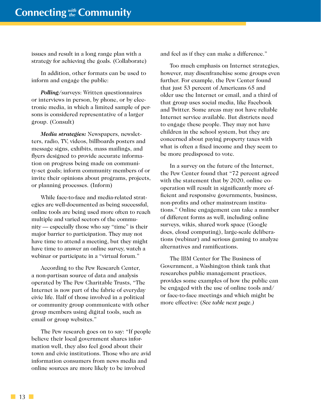issues and result in a long range plan with a strategy for achieving the goals. (Collaborate)

In addition, other formats can be used to inform and engage the public:

*Polling/*surveys: Written questionnaires or interviews in person, by phone, or by electronic media, in which a limited sample of persons is considered representative of a larger group. (Consult)

*Media strategies:* Newspapers, newsletters, radio, TV, videos, billboards posters and message signs, exhibits, mass mailings, and flyers designed to provide accurate information on progress being made on community-set goals; inform community members of or invite their opinions about programs, projects, or planning processes. (Inform)

While face-to-face and media-related strategies are well-documented as being successful, online tools are being used more often to reach multiple and varied sectors of the community — especially those who say "time" is their major barrier to participation. They may not have time to attend a meeting, but they might have time to answer an online survey, watch a webinar or participate in a "virtual forum."

According to the Pew Research Center, a non-partisan source of data and analysis operated by The Pew Charitable Trusts, "The Internet is now part of the fabric of everyday civic life. Half of those involved in a political or community group communicate with other group members using digital tools, such as email or group websites."

The Pew research goes on to say: "If people believe their local government shares information well, they also feel good about their town and civic institutions. Those who are avid information consumers from news media and online sources are more likely to be involved

and feel as if they can make a difference."

Too much emphasis on Internet strategies, however, may disenfranchise some groups even further. For example, the Pew Center found that just 53 percent of Americans 65 and older use the Internet or email, and a third of that group uses social media, like Facebook and Twitter. Some areas may not have reliable Internet service available. But districts need to engage these people. They may not have children in the school system, but they are concerned about paying property taxes with what is often a fixed income and they seem to be more predisposed to vote.

In a survey on the future of the Internet, the Pew Center found that "72 percent agreed with the statement that by 2020, online cooperation will result in significantly more efficient and responsive governments, business, non-profits and other mainstream institutions." Online engagement can take a number of different forms as well, including online surveys, wikis, shared work space (Google docs, cloud computing), large-scale deliberations (webinar) and serious gaming to analyze alternatives and ramifications.

The IBM Center for The Business of Government, a Washington think tank that researches public management practices, provides some examples of how the public can be engaged with the use of online tools and/ or face-to-face meetings and which might be more effective: (*See table next page.)*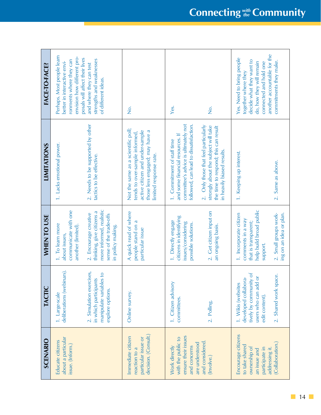| FACE-TO-FACE?      | Perhaps. Most people learn<br>envision how different pro-<br>posals will affect their lives<br>strengths and weaknesses<br>ronments where they can<br>better in interactive envi-<br>and where they can test<br>of different ideas. | .<br>S                                                                                                                                                              | Yes.<br>р<br>2                                                                                                                                                                                                                                                                                          | another accountable for the<br>Yes. Need to bring people<br>decide what they want to<br>commitments they make.<br>do, how they will remain<br>connected and hold one<br>together where they |
|--------------------|-------------------------------------------------------------------------------------------------------------------------------------------------------------------------------------------------------------------------------------|---------------------------------------------------------------------------------------------------------------------------------------------------------------------|---------------------------------------------------------------------------------------------------------------------------------------------------------------------------------------------------------------------------------------------------------------------------------------------------------|---------------------------------------------------------------------------------------------------------------------------------------------------------------------------------------------|
| <b>LIMITATIONS</b> | 2. Needs to be supported by other<br>1. Lacks emotional power.<br>tactics to be effective.                                                                                                                                          | Not the same as a scientific poll;<br>active citizen and under-sample<br>those less engaged; may have a<br>tends to over-sample informed,<br>limited response rate. | committee's advice is ultimately not<br>followed, can lead to dissatisfaction.<br>2. Only those that feel particularly<br>strongly about the subject will take<br>the time to respond; this can result<br>and some financial resources. If<br>1. Commitment of staff time<br>in heavily biased results. | 1. Keeping up interest.<br>Same as above.<br>$\overline{c}$                                                                                                                                 |
| WHEN TO USE        | more informed, realistic<br>communicate with one<br>thinking, give citizens a<br>2. Encourage creative<br>sense of the trade-offs<br>1. To learn more<br>another (limited).<br>in policy making.<br>about issues,                   | A quick read of where<br>people stand on a<br>particular issue                                                                                                      | 2. Cet citizen input on<br>citizens in identifying<br>1. Directly engage<br>issues/considering<br>possible solutions.<br>an ongoing basis.                                                                                                                                                              | help build broad public<br>2. Small groups work-<br>1. Incorporate citizen<br>comments in a way<br>that is transparent;<br>support.                                                         |
| TACTIC             | deliberations (webinars).<br>2. Simulation exercises,<br>manipulate variables to<br>in which participants<br>explore options.<br>1. Large-scale                                                                                     | Online survey.                                                                                                                                                      | 1. Citizen advisory<br>committees.<br>2. Polling.                                                                                                                                                                                                                                                       | tively by community of<br>2. Shared work space.<br>$\delta$<br>developed collabora-<br>1. Wikis (websites<br>users who can add<br>edit content).                                            |
| SCENARIO           | about a particular<br>Educate citizens<br>issue. (Inform.)                                                                                                                                                                          | decision. (Consult.)<br>Immediate citizen<br>particular issue or<br>reaction to a                                                                                   | ensure their issues<br>with the public to<br>and considered.<br>are understood<br>and concerns<br>Work directly<br>(Involve.)                                                                                                                                                                           | Encourage citizens<br>(Collaboration.)<br>to take shared<br>ownership of<br>addressing it.<br>participate in<br>an issue and                                                                |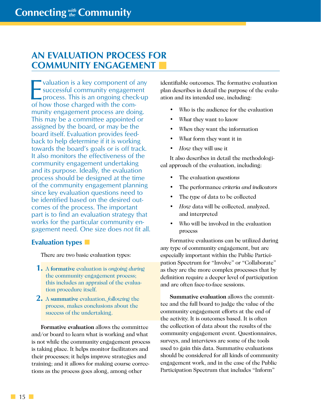# <span id="page-23-0"></span>**AN EVALUATION PROCESS FOR COMMUNITY ENGAGEMENT**

Valuation is a key component of any<br>successful community engagement<br>process. This is an ongoing check-up<br>of how those charged with the com valuation is a key component of any successful community engagement of how those charged with the community engagement process are doing. This may be a committee appointed or assigned by the board, or may be the board itself. Evaluation provides feedback to help determine if it is working towards the board's goals or is off track. It also monitors the effectiveness of the community engagement undertaking and its purpose. Ideally, the evaluation process should be designed at the time of the community engagement planning since key evaluation questions need to be identified based on the desired outcomes of the process. The important part is to find an evaluation strategy that works for the particular community engagement need. One size does *not* fit all.

# **Evaluation types**

There are two basic evaluation types:

- **1.** <sup>A</sup>**formative** evaluation is *ongoing during* the community engagement process; this includes an appraisal of the evaluation procedure itself.
- **2.** <sup>A</sup> **summative** evaluation, *following* the process, makes conclusions about the success of the undertaking.

**Formative evaluation** allows the committee and/or board to learn what is working and what is not while the community engagement process is taking place. It helps monitor facilitators and their processes; it helps improve strategies and training; and it allows for making course corrections as the process goes along, among other

identifiable outcomes. The formative evaluation plan describes in detail the purpose of the evaluation and its intended use, including:

- *• Who* is the audience for the evaluation
- *• What* they want to know
- *• When* they want the information
- *• What* form they want it in
- *• How* they will use it

It also describes in detail the methodological approach of the evaluation, including:

- The evaluation *questions*
- The performance *criteria and indicators*
- The *type* of data to be collected
- *• How* data will be collected, analyzed, and interpreted
- *• Who* will be involved in the evaluation process

Formative evaluations can be utilized during any type of community engagement, but are especially important within the Public Participation Spectrum for "Involve" or "Collaborate" as they are the more complex processes that by definition require a deeper level of participation and are often face-to-face sessions.

**Summative evaluation** allows the committee and the full board to judge the value of the community engagement efforts at the end of the activity. It is outcomes based. It is often the collection of data about the results of the community engagement event. Questionnaires, surveys, and interviews are some of the tools used to gain this data. Summative evaluations should be considered for all kinds of community engagement work, and in the case of the Public Participation Spectrum that includes "Inform"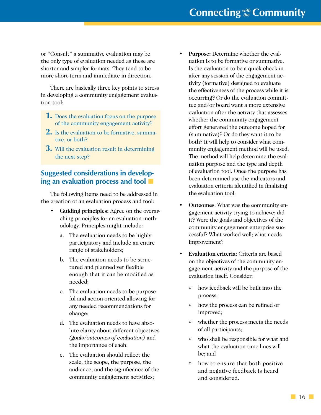or "Consult" a summative evaluation may be the only type of evaluation needed as these are shorter and simpler formats. They tend to be more short-term and immediate in direction.

There are basically three key points to stress in developing a community engagement evaluation tool:

- **1.** Does the evaluation focus on the purpose of the community engagement activity?
- **2.** Is the evaluation to be formative, summative, or both?
- **3.** Will the evaluation result in determining the next step?

# **Suggested considerations in developing an evaluation process and tool**

The following items need to be addressed in the creation of an evaluation process and tool:

- **• Guiding principles:** Agree on the overarching principles for an evaluation methodology. Principles might include:
	- a. The evaluation needs to be highly participatory and include an entire range of stakeholders;
	- b. The evaluation needs to be structured and planned yet flexible enough that it can be modified as needed;
	- c. The evaluation needs to be purposeful and action-oriented allowing for any needed recommendations for change;
	- d. The evaluation needs to have absolute clarity about different objectives *(goals/outcomes of evaluation)* and the importance of each;
	- e. The evaluation should reflect the scale, the scope, the purpose, the audience, and the significance of the community engagement activities;
- **• Purpose:** Determine whether the evaluation is to be formative or summative. Is the evaluation to be a quick check-in after any session of the engagement activity (formative) designed to evaluate the effectiveness of the process while it is occurring? Or do the evaluation committee and/or board want a more extensive evaluation after the activity that assesses whether the community engagement effort generated the outcome hoped for (summative)? Or do they want it to be both? It will help to consider what community engagement method will be used. The method will help determine the evaluation purpose and the type and depth of evaluation tool. Once the purpose has been determined use the indicators and evaluation criteria identified in finalizing the evaluation tool.
- **• Outcomes**: What was the community engagement activity trying to achieve; did it? Were the goals and objectives of the community engagement enterprise successful? What worked well; what needs improvement?
- **• Evaluation criteria**: Criteria are based on the objectives of the community engagement activity and the purpose of the evaluation itself. Consider:
	- o how feedback will be built into the process;
	- <sup>o</sup> how the process can be refined or improved;
	- <sup>o</sup> whether the process meets the needs of all participants;
	- <sup>o</sup> who shall be responsible for what and what the evaluation time lines will be; and
	- $\circ$  how to ensure that both positive and negative feedback is heard and considered.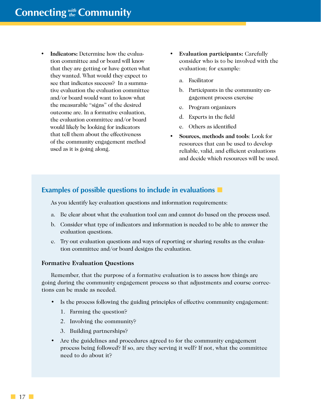- **• Indicators:** Determine how the evaluation committee and or board will know that they are getting or have gotten what they wanted. What would they expect to see that indicates success? In a summative evaluation the evaluation committee and/or board would want to know what the measurable "signs" of the desired outcome are. In a formative evaluation, the evaluation committee and/or board would likely be looking for indicators that tell them about the effectiveness of the community engagement method used as it is going along.
- **• Evaluation participants:** Carefully consider who is to be involved with the evaluation; for example:
	- a. Facilitator
	- b. Participants in the community engagement process exercise
	- c. Program organizers
	- d. Experts in the field
	- e. Others as identified
- **• Sources, methods and tools**: Look for resources that can be used to develop reliable, valid, and efficient evaluations and decide which resources will be used.

# **Examples of possible questions to include in evaluations**

As you identify key evaluation questions and information requirements:

- a. Be clear about what the evaluation tool can and cannot do based on the process used.
- b. Consider what type of indicators and information is needed to be able to answer the evaluation questions.
- c. Try out evaluation questions and ways of reporting or sharing results as the evaluation committee and/or board designs the evaluation.

#### **Formative Evaluation Questions**

Remember, that the purpose of a formative evaluation is to assess how things are going during the community engagement process so that adjustments and course corrections can be made as needed.

- Is the process following the guiding principles of effective community engagement:
	- 1. Farming the question?
	- 2. Involving the community?
	- 3. Building partnerships?
- Are the guidelines and procedures agreed to for the community engagement process being followed? If so, are they serving it well? If not, what the committee need to do about it?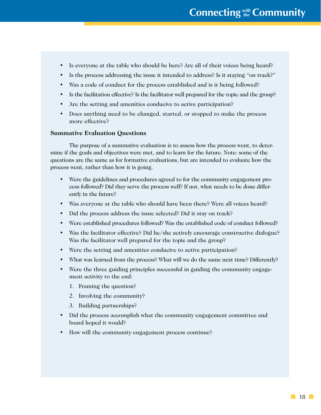- Is everyone at the table who should be here? Are all of their voices being heard?
- Is the process addressing the issue it intended to address? Is it staying "on track?"
- Was a code of conduct for the process established and is it being followed?
- Is the facilitation effective? Is the facilitator well prepared for the topic and the group?
- Are the setting and amenities conducive to active participation?
- Does anything need to be changed, started, or stopped to make the process more effective?

#### **Summative Evaluation Questions**

The purpose of a summative evaluation is to assess how the process went, to determine if the goals and objectives were met, and to learn for the future. Note: some of the questions are the same as for formative evaluations, but are intended to evaluate how the process went, rather than how it is going.

- Were the guidelines and procedures agreed to for the community engagement process followed? Did they serve the process well? If not, what needs to be done differently in the future?
- Was everyone at the table who should have been there? Were all voices heard?
- Did the process address the issue selected? Did it stay on track?
- Were established procedures followed? Was the established code of conduct followed?
- Was the facilitator effective? Did he/she actively encourage constructive dialogue? Was the facilitator well prepared for the topic and the group?
- Were the setting and amenities conducive to active participation?
- What was learned from the process? What will we do the same next time? Differently?
- Were the three guiding principles successful in guiding the community engagement activity to the end:
	- 1. Framing the question?
	- 2. Involving the community?
	- 3. Building partnerships?
- Did the process accomplish what the community engagement committee and board hoped it would?
- How will the community engagement process continue?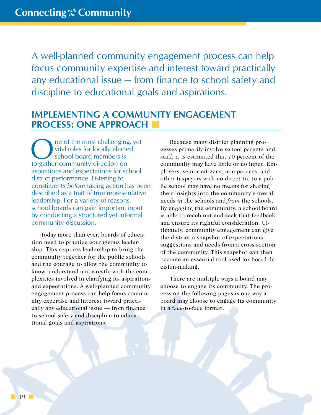<span id="page-27-0"></span>A well-planned community engagement process can help focus community expertise and interest toward practically any educational issue — from finance to school safety and discipline to educational goals and aspirations.

# **IMPLEMENTING A COMMUNITY ENGAGEMENT PROCESS: ONE APPROACH**

ne of the most challenging, yet vital roles for locally elected school board members is to gather community direction on aspirations and expectations for school district performance. Listening to constituents *before* taking action has been described as a trait of true representative leadership. For a variety of reasons, school boards can gain important input by conducting a structured yet informal community discussion.

Today more than ever, boards of education need to practice courageous leadership. This requires leadership to bring the community together for the public schools and the courage to allow the community to know, understand and wrestle with the complexities involved in clarifying its aspirations and expectations. A well-planned community engagement process can help focus community expertise and interest toward practically any educational issue — from finance to school safety and discipline to educational goals and aspirations.

Because many district planning processes primarily involve school parents and staff, it is estimated that 70 percent of the community may have little or no input. Employers, senior citizens, non-parents, and other taxpayers with no direct tie to a public school may have no means for sharing their insights into the community's overall needs *in* the schools and *from* the schools. By engaging the community, a school board is able to reach out and seek that feedback and ensure its rightful consideration. Ultimately, community engagement can give the district a snapshot of expectations, suggestions and needs from a cross-section of the community. This snapshot can then become an essential tool used for board decision-making.

There are multiple ways a board may choose to engage its community. The process on the following pages is one way a board may choose to engage its community in a face-to-face format.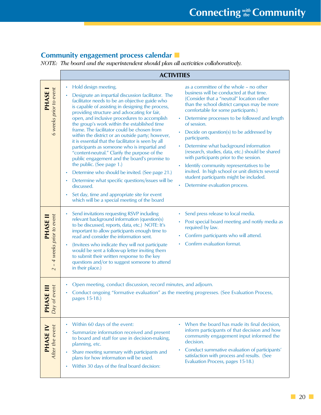# **Community engagement process calendar**

*NOTE: The board and the superintendent should plan all activities collaboratively.*

|                                                                                                                         | <b>ACTIVITIES</b>                                                                                                                                                                                                                                                                                                                                                                                                                                                                                                                                                                                                                                                                                                                                                                                                                                                                                                                                                                                                                                                                                                                                                                                                                                                                                                                                                                                                                                                                                                                                                                                     |  |  |  |  |
|-------------------------------------------------------------------------------------------------------------------------|-------------------------------------------------------------------------------------------------------------------------------------------------------------------------------------------------------------------------------------------------------------------------------------------------------------------------------------------------------------------------------------------------------------------------------------------------------------------------------------------------------------------------------------------------------------------------------------------------------------------------------------------------------------------------------------------------------------------------------------------------------------------------------------------------------------------------------------------------------------------------------------------------------------------------------------------------------------------------------------------------------------------------------------------------------------------------------------------------------------------------------------------------------------------------------------------------------------------------------------------------------------------------------------------------------------------------------------------------------------------------------------------------------------------------------------------------------------------------------------------------------------------------------------------------------------------------------------------------------|--|--|--|--|
| 6 weeks prior to event<br>PHASE I                                                                                       | Hold design meeting.<br>as a committee of the whole - no other<br>business will be conducted at that time.<br>Designate an impartial discussion facilitator. The<br>(Consider that a "neutral" location rather<br>facilitator needs to be an objective guide who<br>than the school district campus may be more<br>is capable of assisting in designing the process,<br>comfortable for some participants.)<br>providing structure and advocating for fair,<br>open, and inclusive procedures to accomplish<br>Determine processes to be followed and length<br>$\bullet$<br>the group's work within the established time<br>of session.<br>frame. The facilitator could be chosen from<br>Decide on question(s) to be addressed by<br>within the district or an outside party; however,<br>participants.<br>it is essential that the facilitator is seen by all<br>Determine what background information<br>$\bullet$<br>participants as someone who is impartial and<br>(research, studies, data, etc.) should be shared<br>"content-neutral." Clarify the purpose of the<br>with participants prior to the session.<br>public engagement and the board's promise to<br>the public. (See page 1.)<br>Identify community representatives to be<br>invited. In high school or unit districts several<br>Determine who should be invited. (See page 21.)<br>student participants might be included.<br>Determine what specific questions/issues will be<br>Determine evaluation process.<br>discussed.<br>Set day, time and appropriate site for event<br>which will be a special meeting of the board |  |  |  |  |
| 4 weeks prior to event<br><b>PHASE II</b><br>$\mathbf{I}% _{0}\left( \mathbf{I}_{1}\right)$<br>$\overline{\mathcal{N}}$ | Send press release to local media.<br>Send invitations requesting RSVP including<br>relevant background information (question(s)<br>Post special board meeting and notify media as<br>$\bullet$<br>to be discussed, reports, data, etc.) NOTE: It's<br>required by law.<br>important to allow participants enough time to<br>Confirm participants who will attend.<br>read and consider the information sent.<br>Confirm evaluation format.<br>(Invitees who indicate they will not participate<br>would be sent a follow-up letter inviting them<br>to submit their written response to the key<br>questions and/or to suggest someone to attend<br>in their place.)                                                                                                                                                                                                                                                                                                                                                                                                                                                                                                                                                                                                                                                                                                                                                                                                                                                                                                                                 |  |  |  |  |
| of event<br>ASE III<br>$P$ Hq                                                                                           | Open meeting, conduct discussion, record minutes, and adjourn.<br>Conduct ongoing "formative evaluation" as the meeting progresses. (See Evaluation Process,<br>pages 15-18.)                                                                                                                                                                                                                                                                                                                                                                                                                                                                                                                                                                                                                                                                                                                                                                                                                                                                                                                                                                                                                                                                                                                                                                                                                                                                                                                                                                                                                         |  |  |  |  |
| After the event<br>PHASE IV                                                                                             | When the board has made its final decision,<br>Within 60 days of the event:<br>inform participants of that decision and how<br>Summarize information received and present<br>community engagement input informed the<br>to board and staff for use in decision-making,<br>decision.<br>planning, etc.<br>Conduct summative evaluation of participants'<br>Share meeting summary with participants and<br>satisfaction with process and results. (See<br>plans for how information will be used.<br>Evaluation Process, pages 15-18.)<br>Within 30 days of the final board decision:                                                                                                                                                                                                                                                                                                                                                                                                                                                                                                                                                                                                                                                                                                                                                                                                                                                                                                                                                                                                                   |  |  |  |  |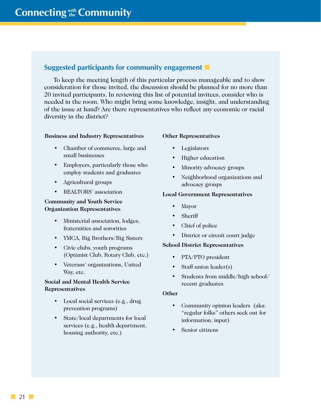# **Suggested participants for community engagement**

To keep the meeting length of this particular process manageable and to show consideration for those invited, the discussion should be planned for no more than 20 invited participants. In reviewing this list of potential invitees, consider who is needed in the room. Who might bring some knowledge, insight, and understanding of the issue at hand? Are there representatives who reflect any economic or racial diversity in the district?

#### **Business and Industry Representatives**

- Chamber of commerce, large and small businesses
- Employers, particularly those who employ students and graduates
- Agricultural groups
- REALTORS' association

#### **Community and Youth Service Organization Representatives**

- Ministerial association, lodges, fraternities and sororities
- YMCA, Big Brothers/Big Sisters
- Civic clubs, youth programs (Optimist Club, Rotary Club, etc.)
- Veterans' organizations, United Way, etc.

#### **Social and Mental Health Service Representatives**

- Local social services (e.g., drug prevention programs)
- State/local departments for local services (e.g., health department, housing authority, etc.)

#### **Other Representatives**

- Legislators
- Higher education
- Minority advocacy groups
- Neighborhood organizations and advocacy groups

#### **Local Government Representatives**

- Mayor
- **Sheriff**
- Chief of police
- District or circuit court judge

#### **School District Representatives**

- PTA/PTO president
- Staff union leader(s)
- Students from middle/high school/ recent graduates

#### **Other**

- Community opinion leaders (aka: "regular folks" others seek out for information, input)
- Senior citizens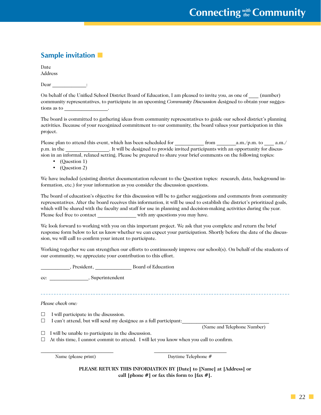# **Sample invitation**

Date Address

| Dear |  |
|------|--|
|      |  |

On behalf of the Unified School District Board of Education, I am pleased to invite you, as one of  $\qquad$  (number) community representatives, to participate in an upcoming *Community Discussion* designed to obtain your suggestions as to \_\_\_\_\_\_\_\_\_\_\_\_\_\_\_\_\_\_.

The board is committed to gathering ideas from community representatives to guide our school district's planning activities. Because of your recognized commitment to our community, the board values your participation in this project.

Please plan to attend this event, which has been scheduled for \_\_\_\_\_\_\_\_\_\_\_\_ from \_\_\_\_\_\_\_\_a.m./p.m. to \_\_\_\_ a.m./ p.m. in the  $\blacksquare$ . It will be designed to provide invited participants with an opportunity for discussion in an informal, relaxed setting. Please be prepared to share your brief comments on the following topics:

- (Question 1)
- (Question 2)

We have included (existing district documentation relevant to the Question topics: research, data, background information, etc.) for your information as you consider the discussion questions.

The board of education's objective for this discussion will be to gather suggestions and comments from community representatives. After the board receives this information, it will be used to establish the district's prioritized goals, which will be shared with the faculty and staff for use in planning and decision-making activities during the year. Please feel free to contact \_\_\_\_\_\_\_\_\_\_\_\_\_\_\_\_\_\_ with any questions you may have.

We look forward to working with you on this important project. We ask that you complete and return the brief response form below to let us know whether we can expect your participation. Shortly before the date of the discussion, we will call to confirm your intent to participate.

Working together we can strengthen our efforts to continuously improve our school(s). On behalf of the students of our community, we appreciate your contribution to this effort.

\_\_\_\_\_\_\_\_\_\_\_\_, President, \_\_\_\_\_\_\_\_\_\_\_\_\_\_\_ Board of Education

cc: \_\_\_\_\_\_\_\_\_\_\_\_\_\_\_\_, Superintendent

*Please check one:*

- $\Box$  I will participate in the discussion.
- $\Box$  I can't attend, but will send my designee as a full participant:

(Name and Telephone Number)

 $\Box$  I will be unable to participate in the discussion.

 $\Box$  At this time, I cannot commit to attend. I will let you know when you call to confirm.

 $\_$  , and the set of the set of the set of the set of the set of the set of the set of the set of the set of the set of the set of the set of the set of the set of the set of the set of the set of the set of the set of th

Name (please print) Daytime Telephone #

**PLEASE RETURN THIS INFORMATION BY [Date] to [Name] at [Address] or call [phone #] or fax this form to [fax #].**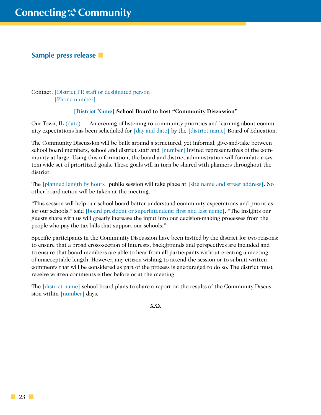### **Sample press release**

Contact: [District PR staff or designated person] [Phone number]

#### **[District Name] School Board to host "Community Discussion"**

Our Town, IL (date) — An evening of listening to community priorities and learning about community expectations has been scheduled for [day and date] by the [district name] Board of Education.

The Community Discussion will be built around a structured, yet informal, give-and-take between school board members, school and district staff and [number] invited representatives of the community at large. Using this information, the board and district administration will formulate a system wide set of prioritized goals. These goals will in turn be shared with planners throughout the district.

The [planned length by hours] public session will take place at [site name and street address]. No other board action will be taken at the meeting.

"This session will help our school board better understand community expectations and priorities for our schools," said [board president or superintendent; first and last name]. "The insights our guests share with us will greatly increase the input into our decision-making processes from the people who pay the tax bills that support our schools."

Specific participants in the Community Discussion have been invited by the district for two reasons: to ensure that a broad cross-section of interests, backgrounds and perspectives are included and to ensure that board members are able to hear from all participants without creating a meeting of unacceptable length. However, any citizen wishing to attend the session or to submit written comments that will be considered as part of the process is encouraged to do so. The district must receive written comments either before or at the meeting.

The [district name] school board plans to share a report on the results of the Community Discussion within [number] days.

XXX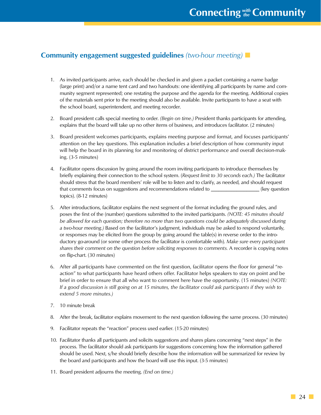# **Community engagement suggested guidelines** *(two-hour meeting)*

- 1. As invited participants arrive, each should be checked in and given a packet containing a name badge (large print) and/or a name tent card and two handouts: one identifying all participants by name and community segment represented; one restating the purpose and the agenda for the meeting. Additional copies of the materials sent prior to the meeting should also be available. Invite participants to have a seat with the school board, superintendent, and meeting recorder.
- 2. Board president calls special meeting to order. *(Begin on time.)* President thanks participants for attending, explains that the board will take up no other items of business, and introduces facilitator. (2 minutes)
- 3. Board president welcomes participants, explains meeting purpose and format, and focuses participants' attention on the key questions. This explanation includes a brief description of how community input will help the board in its planning for and monitoring of district performance and overall decision-making. (3-5 minutes)
- 4. Facilitator opens discussion by going around the room inviting participants to introduce themselves by briefly explaining their connection to the school system. (*Request limit to 30 seconds each.)* The facilitator should stress that the board members' role will be to listen and to clarify, as needed, and should request that comments focus on suggestions and recommendations related to \_\_\_\_\_\_\_\_\_\_\_\_\_\_\_\_\_\_\_ (key question topics). (8-12 minutes)
- 5. After introductions, facilitator explains the next segment of the format including the ground rules, and poses the first of the (number) questions submitted to the invited participants. *(NOTE: 45 minutes should*  be allowed for each question; therefore no more than two questions could be adequately discussed during *a two-hour meeting.)* Based on the facilitator's judgment, individuals may be asked to respond voluntarily, or responses may be elicited from the group by going around the table(s) in reverse order to the introductory go-around (or some other process the facilitator is comfortable with). *Make sure every participant shares their comment on the question before soliciting responses to comments.* A recorder is copying notes on flip-chart. (30 minutes)
- 6. After all participants have commented on the first question, facilitator opens the floor for general "reaction" to what participants have heard others offer. Facilitator helps speakers to stay on point and be brief in order to ensure that all who want to comment here have the opportunity. (15 minutes) *(NOTE: If a good discussion is still going on at 15 minutes, the facilitator could ask participants if they wish to extend 5 more minutes.)*
- 7. 10 minute break
- 8. After the break, facilitator explains movement to the next question following the same process. (30 minutes)
- 9. Facilitator repeats the "reaction" process used earlier. (15-20 minutes)
- 10. Facilitator thanks all participants and solicits suggestions and shares plans concerning "next steps" in the process. The facilitator should ask participants for suggestions concerning how the information gathered should be used. Next, s/he should briefly describe how the information will be summarized for review by the board and participants and how the board will use this input. (3-5 minutes)
- 11. Board president adjourns the meeting. *(End on time.)*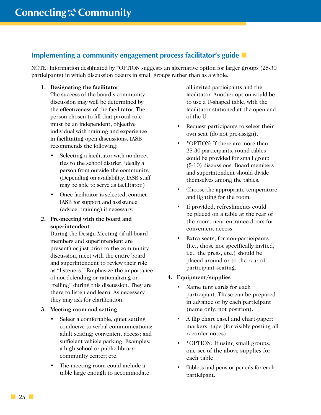# **Implementing a community engagement process facilitator's guide**

NOTE: Information designated by \*OPTION suggests an alternative option for larger groups (25-30 participants) in which discussion occurs in small groups rather than as a whole.

**1. Designating the facilitator**

The success of the board's community discussion may well be determined by the effectiveness of the facilitator. The person chosen to fill that pivotal role must be an independent, objective individual with training and experience in facilitating open discussions. IASB recommends the following:

- Selecting a facilitator with no direct ties to the school district, ideally a person from outside the community. (Depending on availability, IASB staff may be able to serve as facilitator.)
- Once facilitator is selected, contact IASB for support and assistance (advice, training) if necessary.
- **2. Pre-meeting with the board and superintendent**

During the Design Meeting (if all board members and superintendent are present) or just prior to the community discussion, meet with the entire board and superintendent to review their role as "listeners." Emphasize the importance of not defending or rationalizing or "telling" during this discussion. They are there to listen and learn. As necessary, they may ask for clarification.

#### **3. Meeting room and setting**

- Select a comfortable, quiet setting conducive to verbal communications; adult seating; convenient access; and sufficient vehicle parking. Examples: a high school or public library; community center; etc.
- The meeting room could include a table large enough to accommodate

all invited participants and the facilitator. Another option would be to use a U-shaped table, with the facilitator stationed at the open end of the U.

- Request participants to select their own seat (do not pre-assign).
- \*OPTION: If there are more than 25-30 participants, round tables could be provided for small group (5-10) discussions. Board members and superintendent should divide themselves among the tables.
- Choose the appropriate temperature and lighting for the room.
- If provided, refreshments could be placed on a table at the rear of the room, near entrance doors for convenient access.
- Extra seats, for non-participants (i.e., those not specifically invited, i.e., the press, etc.) should be placed around or to the rear of participant seating.

#### **4. Equipment/supplies**

- Name tent cards for each participant. These can be prepared in advance or by each participant (name only; not position).
- A flip chart easel and chart-paper; markers; tape (for visibly posting all recorder notes).
- \*OPTION: If using small groups, one set of the above supplies for each table.
- Tablets and pens or pencils for each participant.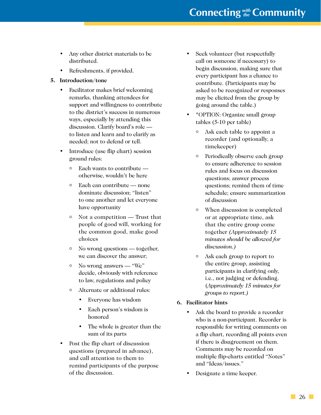# **Connecting** *with* **Community**

- Any other district materials to be distributed.
- Refreshments, if provided.

#### **5. Introduction/tone**

- Facilitator makes brief welcoming remarks, thanking attendees for support and willingness to contribute to the district's success in numerous ways, especially by attending this discussion. Clarify board's role to listen and learn and to clarify as needed; not to defend or tell.
- Introduce (use flip chart) session ground rules:
	- $\circ$  Each wants to contribute otherwise, wouldn't be here
	- $\circ$  Each can contribute none dominate discussion; "listen" to one another and let everyone have opportunity
	- $\circ$  Not a competition Trust that people of good will, working for the common good, make good choices
	- $\circ$  No wrong questions together, we can discover the answer;
	- $\circ$  No wrong answers "We" decide, obviously with reference to law, regulations and policy
	- Alternate or additional rules:
		- Everyone has wisdom
		- Each person's wisdom is honored
		- The whole is greater than the sum of its parts
- Post the flip chart of discussion questions (prepared in advance), and call attention to them to remind participants of the purpose of the discussion.
- Seek volunteer (but respectfully call on someone if necessary) to begin discussion, making sure that every participant has a chance to contribute. (Participants may be asked to be recognized or responses may be elicited from the group by going around the table.)
- \*OPTION: Organize small group tables (5-10 per table)
	- <sup>o</sup> Ask each table to appoint a recorder (and optionally, a timekeeper)
	- <sup>o</sup> Periodically observe each group to ensure adherence to session rules and focus on discussion questions; answer process questions; remind them of time schedule; ensure summarization of discussion
	- <sup>o</sup> When discussion is completed or at appropriate time, ask that the entire group come together *(Approximately 15 minutes should be allowed for discussion.)*
	- <sup>o</sup> Ask each group to report to the entire group, assisting participants in clarifying only, i.e., not judging or defending. (*Approximately 15 minutes for groups to report.)*
- **6. Facilitator hints**
	- Ask the board to provide a recorder who is a non-participant. Recorder is responsible for writing comments on a flip chart, recording all points even if there is disagreement on them. Comments may be recorded on multiple flip-charts entitled "Notes" and "Ideas/issues."
	- Designate a time keeper.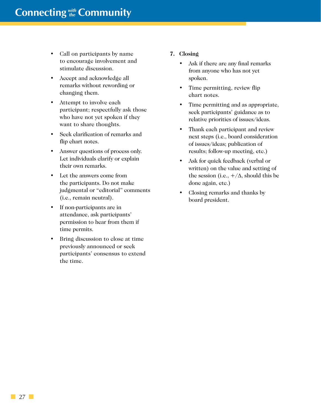- Call on participants by name to encourage involvement and stimulate discussion.
- Accept and acknowledge all remarks without rewording or changing them.
- Attempt to involve each participant; respectfully ask those who have not yet spoken if they want to share thoughts.
- Seek clarification of remarks and flip chart notes.
- Answer questions of process only. Let individuals clarify or explain their own remarks.
- Let the answers come from the participants. Do not make judgmental or "editorial" comments (i.e., remain neutral).
- If non-participants are in attendance, ask participants' permission to hear from them if time permits.
- Bring discussion to close at time previously announced or seek participants' consensus to extend the time.

#### **7. Closing**

- Ask if there are any final remarks from anyone who has not yet spoken.
- Time permitting, review flip chart notes.
- Time permitting and as appropriate, seek participants' guidance as to relative priorities of issues/ideas.
- Thank each participant and review next steps (i.e., board consideration of issues/ideas; publication of results; follow-up meeting, etc.)
- Ask for quick feedback (verbal or written) on the value and setting of the session (i.e.,  $+/\Delta$ , should this be done again, etc.)
- Closing remarks and thanks by board president.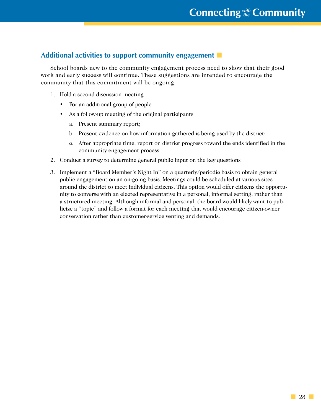# **Additional activities to support community engagement**

School boards new to the community engagement process need to show that their good work and early success will continue. These suggestions are intended to encourage the community that this commitment will be ongoing.

- 1. Hold a second discussion meeting
	- For an additional group of people
	- As a follow-up meeting of the original participants
		- a. Present summary report;
		- b. Present evidence on how information gathered is being used by the district;
		- c. After appropriate time, report on district progress toward the ends identified in the community engagement process
- 2. Conduct a survey to determine general public input on the key questions
- 3. Implement a "Board Member's Night In" on a quarterly/periodic basis to obtain general public engagement on an on-going basis. Meetings could be scheduled at various sites around the district to meet individual citizens. This option would offer citizens the opportunity to converse with an elected representative in a personal, informal setting, rather than a structured meeting. Although informal and personal, the board would likely want to publicize a "topic" and follow a format for each meeting that would encourage citizen-owner conversation rather than customer-service venting and demands.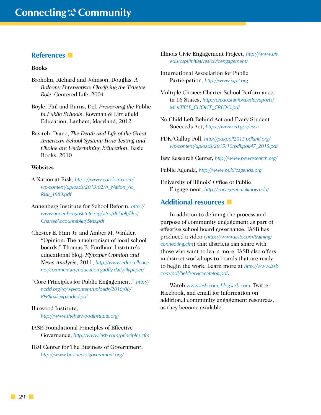## <span id="page-37-0"></span>**References**

#### **Books**

- Broholm, Richard and Johnson, Douglas, *A Balcony Perspective: Clarifying the Trustee Role*, Centered Life, 2004
- Boyle, Phil and Burns, Del, *Preserving the* Public *in Public Schools*, Rowman & Littlefield Education, Lanham, Maryland, 2012
- Ravitch, Diane, *The Death and Life of the Great American School System: How Testing and Choice are Undermining Education*, Basic Books, 2010

#### **Websites**

- A Nation at Risk, *https://www.edreform.com/ wp-content/uploads/2013/02/A\_Nation\_At\_ Risk\_1983.pdf*
- Annenberg Institute for School Reform, *http:// www.annenberginstitute.org/sites/default/files/ CharterAccountabilityStds.pdf*
- Chester E. Finn Jr. and Amber M. Winkler, "Opinion: The anachronism of local school boards," Thomas B. Fordham Institute's educational blog, *Flypaper Opinion and News Analysis*, 2011, *http://www.edexcellence. net/commentary/education-gadfly-daily/flypaper/*
- "Core Principles for Public Engagement," *http:// ncdd.org/rc/wp-content/uploads/2010/08/ PEPfinal-expanded.pdf*

#### Harwood Institute, *http://www.theharwoodinstitute.org/*

- IASB Foundational Principles of Effective Governance, *http://www.iasb.com/principles.cfm*
- IBM Center for The Business of Government, *http://www.businessofgovernment.org/*
- Illinois Civic Engagement Project, *http://www.uis. edu/cspl/initiatives/civicengagement/*
- International Association for Public Participation*, http://www.iap2.org*
- Multiple Choice: Charter School Performance in 16 States, *http://credo.stanford.edu/reports/ MULTIPLE\_CHOICE\_CREDO.pdf*
- No Child Left Behind Act and Every Student Succeeds Act, *https://www.ed.gov/esea*
- PDK/Gallup Poll, *http://pdkpoll2015.pdkintl.org/ wp-content/uploads/2015/10/pdkpoll47\_2015.pdf*

Pew Research Center, *http://www.pewresearch.org/* 

Public Agenda, *http://www.publicagenda.org* 

University of Illinois' Office of Public Engagement, *http://engagement.illinois.edu/*

## **Additional resources**

In addition to defining the process and purpose of community engagement as part of effective school board governance, IASB has produced a video (*https://www.iasb.com/training/ connecting.cfm*) that districts can share with those who want to learn more. IASB also offers in-district workshops to boards that are ready to begin the work. Learn more at *http://www.iasb. com/pdf/fieldservicecatalog.pdf*.

Watch *www.iasb.com, blog.iasb.com*, Twitter, Facebook, and email for information on additional community engagement resources, as they become available.